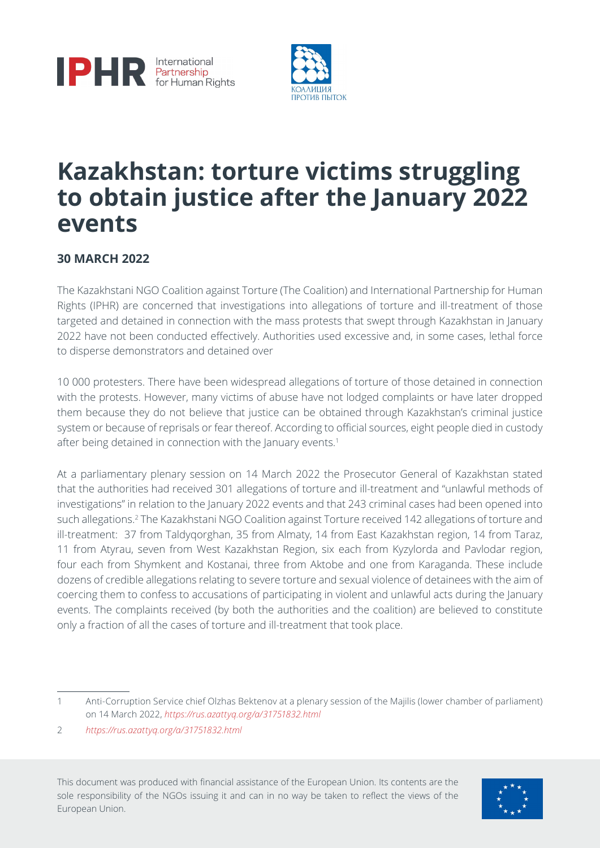



# **Kazakhstan: torture victims struggling to obtain justice after the January 2022 events**

### **30 MARCH 2022**

The Kazakhstani NGO Coalition against Torture (The Coalition) and International Partnership for Human Rights (IPHR) are concerned that investigations into allegations of torture and ill-treatment of those targeted and detained in connection with the mass protests that swept through Kazakhstan in January 2022 have not been conducted effectively. Authorities used excessive and, in some cases, lethal force to disperse demonstrators and detained over

10 000 protesters. There have been widespread allegations of torture of those detained in connection with the protests. However, many victims of abuse have not lodged complaints or have later dropped them because they do not believe that justice can be obtained through Kazakhstan's criminal justice system or because of reprisals or fear thereof. According to official sources, eight people died in custody after being detained in connection with the January events.<sup>1</sup>

At a parliamentary plenary session on 14 March 2022 the Prosecutor General of Kazakhstan stated that the authorities had received 301 allegations of torture and ill-treatment and "unlawful methods of investigations" in relation to the January 2022 events and that 243 criminal cases had been opened into such allegations.<sup>2</sup> The Kazakhstani NGO Coalition against Torture received 142 allegations of torture and ill-treatment: 37 from Taldyqorghan, 35 from Almaty, 14 from East Kazakhstan region, 14 from Taraz, 11 from Atyrau, seven from West Kazakhstan Region, six each from Kyzylorda and Pavlodar region, four each from Shymkent and Kostanai, three from Aktobe and one from Karaganda. These include dozens of credible allegations relating to severe torture and sexual violence of detainees with the aim of coercing them to confess to accusations of participating in violent and unlawful acts during the January events. The complaints received (by both the authorities and the coalition) are believed to constitute only a fraction of all the cases of torture and ill-treatment that took place.

This document was produced with financial assistance of the European Union. Its contents are the sole responsibility of the NGOs issuing it and can in no way be taken to reflect the views of the European Union.



<sup>1</sup> Anti-Corruption Service chief Olzhas Bektenov at a plenary session of the Majilis (lower chamber of parliament) on 14 March 2022, *<https://rus.azattyq.org/a/31751832.html>*

<sup>2</sup> *<https://rus.azattyq.org/a/31751832.html>*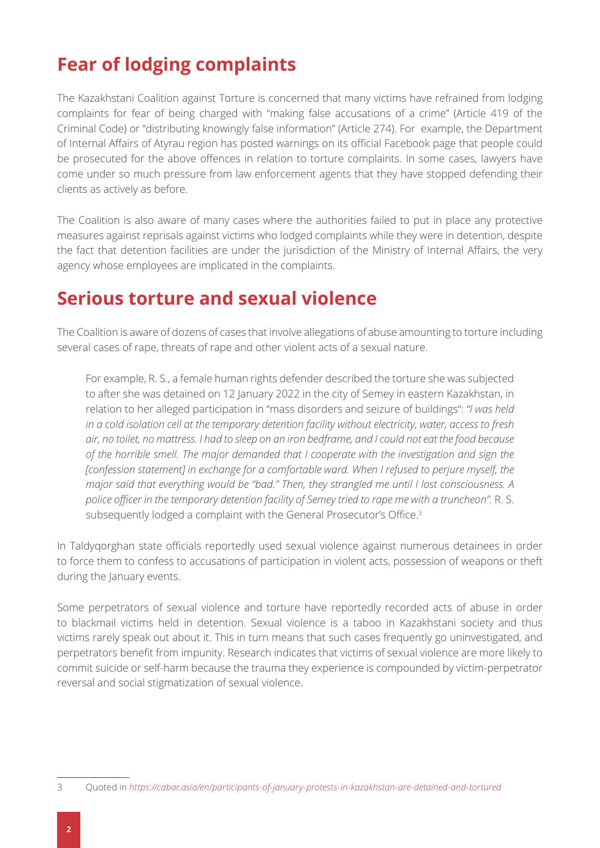# **Fear of lodging complaints**

The Kazakhstani Coalition against Torture is concerned that many victims have refrained from lodging complaints for fear of being charged with "making false accusations of a crime" (Article 419 of the Criminal Code) or "distributing knowingly false information" (Article 274). For example, the Department of Internal Affairs of Atyrau region has posted warnings on its official Facebook page that people could be prosecuted for the above offences in relation to torture complaints. In some cases, lawyers have come under so much pressure from law enforcement agents that they have stopped defending their clients as actively as before.

The Coalition is also aware of many cases where the authorities failed to put in place any protective measures against reprisals against victims who lodged complaints while they were in detention, despite the fact that detention facilities are under the jurisdiction of the Ministry of Internal Affairs, the very agency whose employees are implicated in the complaints.

## **Serious torture and sexual violence**

The Coalition is aware of dozens of cases that involve allegations of abuse amounting to torture including several cases of rape, threats of rape and other violent acts of a sexual nature.

For example, R. S., a female human rights defender described the torture she was subjected to after she was detained on 12 January 2022 in the city of Semey in eastern Kazakhstan, in relation to her alleged participation in "mass disorders and seizure of buildings": *"I was held in a cold isolation cell at the temporary detention facility without electricity, water, access to fresh air, no toilet, no mattress. I had to sleep on an iron bedframe, and I could not eat the food because of the horrible smell. The major demanded that I cooperate with the investigation and sign the [confession statement] in exchange for a comfortable ward. When I refused to perjure myself, the major said that everything would be "bad." Then, they strangled me until I lost consciousness. A police officer in the temporary detention facility of Semey tried to rape me with a truncheon".* R. S. subsequently lodged a complaint with the General Prosecutor's Office.<sup>3</sup>

In Taldyqorghan state officials reportedly used sexual violence against numerous detainees in order to force them to confess to accusations of participation in violent acts, possession of weapons or theft during the January events.

Some perpetrators of sexual violence and torture have reportedly recorded acts of abuse in order to blackmail victims held in detention. Sexual violence is a taboo in Kazakhstani society and thus victims rarely speak out about it. This in turn means that such cases frequently go uninvestigated, and perpetrators benefit from impunity. Research indicates that victims of sexual violence are more likely to commit suicide or self-harm because the trauma they experience is compounded by victim-perpetrator reversal and social stigmatization of sexual violence.

<sup>3</sup> Quoted in *<https://cabar.asia/en/participants-of-january-protests-in-kazakhstan-are-detained-and-tortured>*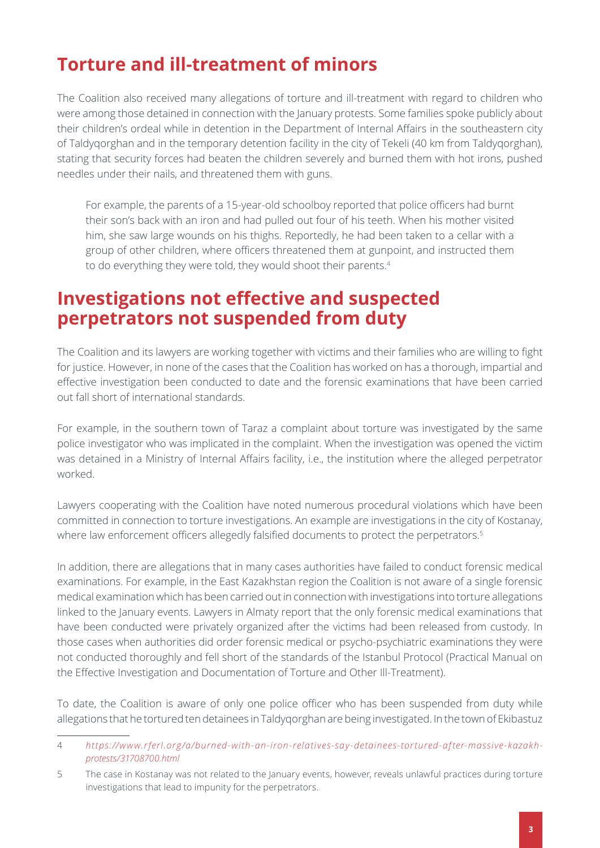# **Torture and ill-treatment of minors**

The Coalition also received many allegations of torture and ill-treatment with regard to children who were among those detained in connection with the January protests. Some families spoke publicly about their children's ordeal while in detention in the Department of Internal Affairs in the southeastern city of Taldyqorghan and in the temporary detention facility in the city of Tekeli (40 km from Taldyqorghan), stating that security forces had beaten the children severely and burned them with hot irons, pushed needles under their nails, and threatened them with guns.

For example, the parents of a 15-year-old schoolboy reported that police officers had burnt their son's back with an iron and had pulled out four of his teeth. When his mother visited him, she saw large wounds on his thighs. Reportedly, he had been taken to a cellar with a group of other children, where officers threatened them at gunpoint, and instructed them to do everything they were told, they would shoot their parents.<sup>4</sup>

## **Investigations not effective and suspected perpetrators not suspended from duty**

The Coalition and its lawyers are working together with victims and their families who are willing to fight for justice. However, in none of the cases that the Coalition has worked on has a thorough, impartial and effective investigation been conducted to date and the forensic examinations that have been carried out fall short of international standards.

For example, in the southern town of Taraz a complaint about torture was investigated by the same police investigator who was implicated in the complaint. When the investigation was opened the victim was detained in a Ministry of Internal Affairs facility, i.e., the institution where the alleged perpetrator worked.

Lawyers cooperating with the Coalition have noted numerous procedural violations which have been committed in connection to torture investigations. An example are investigations in the city of Kostanay, where law enforcement officers allegedly falsified documents to protect the perpetrators.<sup>5</sup>

In addition, there are allegations that in many cases authorities have failed to conduct forensic medical examinations. For example, in the East Kazakhstan region the Coalition is not aware of a single forensic medical examination which has been carried out in connection with investigations into torture allegations linked to the January events. Lawyers in Almaty report that the only forensic medical examinations that have been conducted were privately organized after the victims had been released from custody. In those cases when authorities did order forensic medical or psycho-psychiatric examinations they were not conducted thoroughly and fell short of the standards of the Istanbul Protocol (Practical Manual on the Effective Investigation and Documentation of Torture and Other Ill-Treatment).

To date, the Coalition is aware of only one police officer who has been suspended from duty while allegations that he tortured ten detainees in Taldyqorghan are being investigated. In the town of Ekibastuz

<sup>4</sup> *[https://www.rferl.org/a/burned-with-an-iron-relatives-say-detainees-tortured-after-massive-kazakh](https://www.rferl.org/a/burned-with-an-iron-relatives-say-detainees-tortured-after-massive-kazakh-protests/31708700.html)[protests/31708700.html](https://www.rferl.org/a/burned-with-an-iron-relatives-say-detainees-tortured-after-massive-kazakh-protests/31708700.html)*

<sup>5</sup> The case in Kostanay was not related to the January events, however, reveals unlawful practices during torture investigations that lead to impunity for the perpetrators.